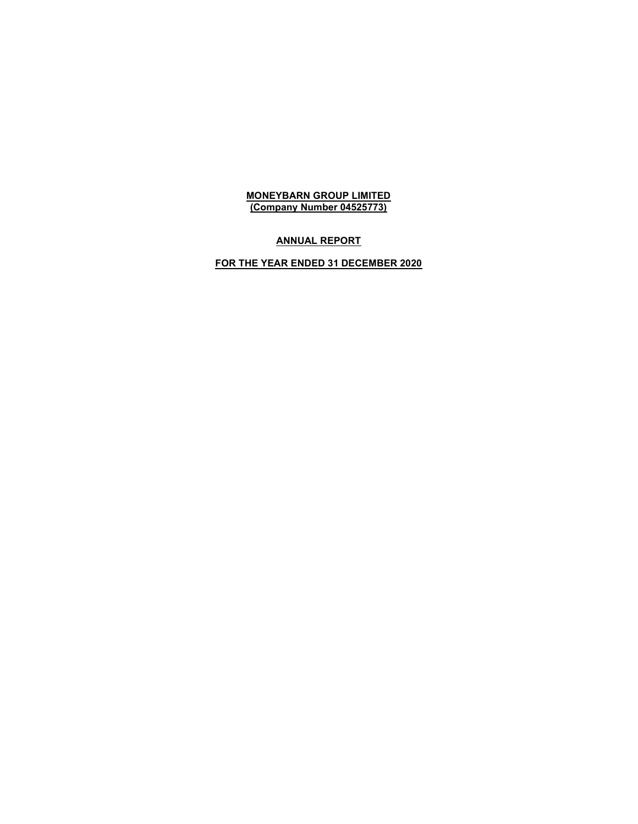# ANNUAL REPORT

# FOR THE YEAR ENDED 31 DECEMBER 2020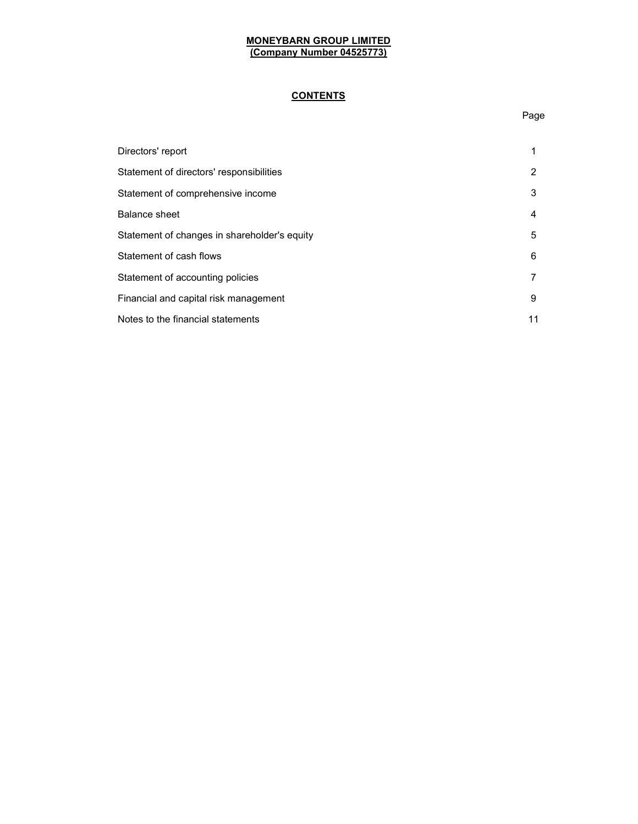# **CONTENTS**

## Page

| Directors' report                            |   |
|----------------------------------------------|---|
| Statement of directors' responsibilities     | 2 |
| Statement of comprehensive income            | 3 |
| <b>Balance sheet</b>                         | 4 |
| Statement of changes in shareholder's equity | 5 |
| Statement of cash flows                      | 6 |
| Statement of accounting policies             |   |
| Financial and capital risk management        | 9 |
| Notes to the financial statements            |   |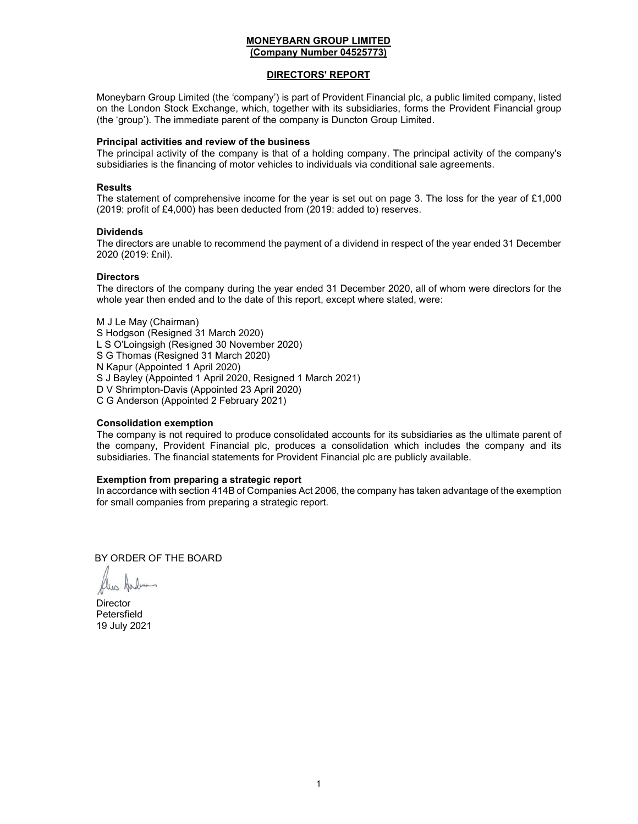## DIRECTORS' REPORT

Moneybarn Group Limited (the 'company') is part of Provident Financial plc, a public limited company, listed on the London Stock Exchange, which, together with its subsidiaries, forms the Provident Financial group (the 'group'). The immediate parent of the company is Duncton Group Limited.

#### Principal activities and review of the business

The principal activity of the company is that of a holding company. The principal activity of the company's subsidiaries is the financing of motor vehicles to individuals via conditional sale agreements.

#### Results

The statement of comprehensive income for the year is set out on page 3. The loss for the year of £1,000 (2019: profit of £4,000) has been deducted from (2019: added to) reserves.

#### Dividends

The directors are unable to recommend the payment of a dividend in respect of the year ended 31 December 2020 (2019: £nil).

## **Directors**

The directors of the company during the year ended 31 December 2020, all of whom were directors for the whole year then ended and to the date of this report, except where stated, were:

M J Le May (Chairman) S Hodgson (Resigned 31 March 2020) L S O'Loingsigh (Resigned 30 November 2020) S G Thomas (Resigned 31 March 2020) N Kapur (Appointed 1 April 2020) S J Bayley (Appointed 1 April 2020, Resigned 1 March 2021) D V Shrimpton-Davis (Appointed 23 April 2020) C G Anderson (Appointed 2 February 2021)

## Consolidation exemption

The company is not required to produce consolidated accounts for its subsidiaries as the ultimate parent of the company, Provident Financial plc, produces a consolidation which includes the company and its subsidiaries. The financial statements for Provident Financial plc are publicly available.

## Exemption from preparing a strategic report

In accordance with section 414B of Companies Act 2006, the company has taken advantage of the exemption for small companies from preparing a strategic report.

BY ORDER OF THE BOARD

C G Anderson

**Director** Petersfield 19 July 2021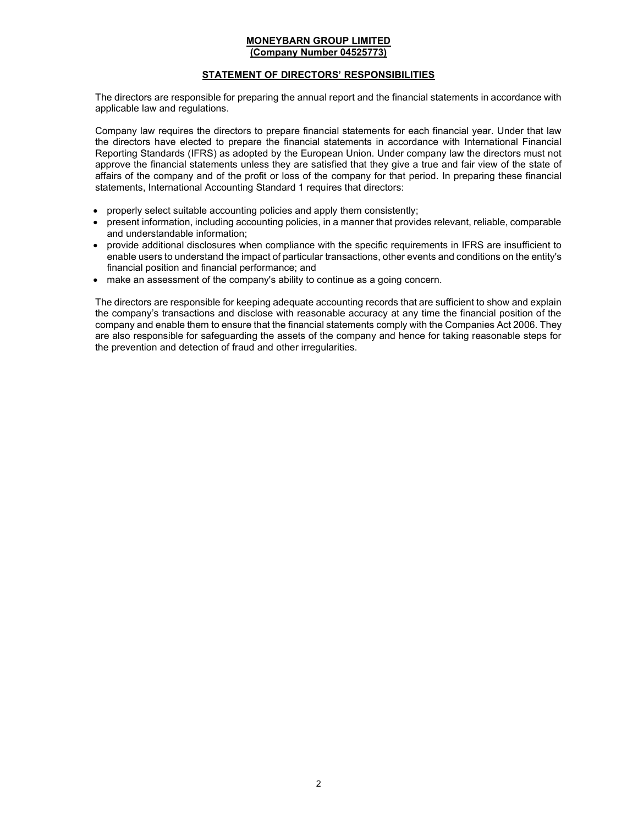## STATEMENT OF DIRECTORS' RESPONSIBILITIES

The directors are responsible for preparing the annual report and the financial statements in accordance with applicable law and regulations.

Company law requires the directors to prepare financial statements for each financial year. Under that law the directors have elected to prepare the financial statements in accordance with International Financial Reporting Standards (IFRS) as adopted by the European Union. Under company law the directors must not approve the financial statements unless they are satisfied that they give a true and fair view of the state of affairs of the company and of the profit or loss of the company for that period. In preparing these financial statements, International Accounting Standard 1 requires that directors:

- properly select suitable accounting policies and apply them consistently;
- present information, including accounting policies, in a manner that provides relevant, reliable, comparable and understandable information;
- provide additional disclosures when compliance with the specific requirements in IFRS are insufficient to enable users to understand the impact of particular transactions, other events and conditions on the entity's financial position and financial performance; and
- make an assessment of the company's ability to continue as a going concern.

The directors are responsible for keeping adequate accounting records that are sufficient to show and explain the company's transactions and disclose with reasonable accuracy at any time the financial position of the company and enable them to ensure that the financial statements comply with the Companies Act 2006. They are also responsible for safeguarding the assets of the company and hence for taking reasonable steps for the prevention and detection of fraud and other irregularities.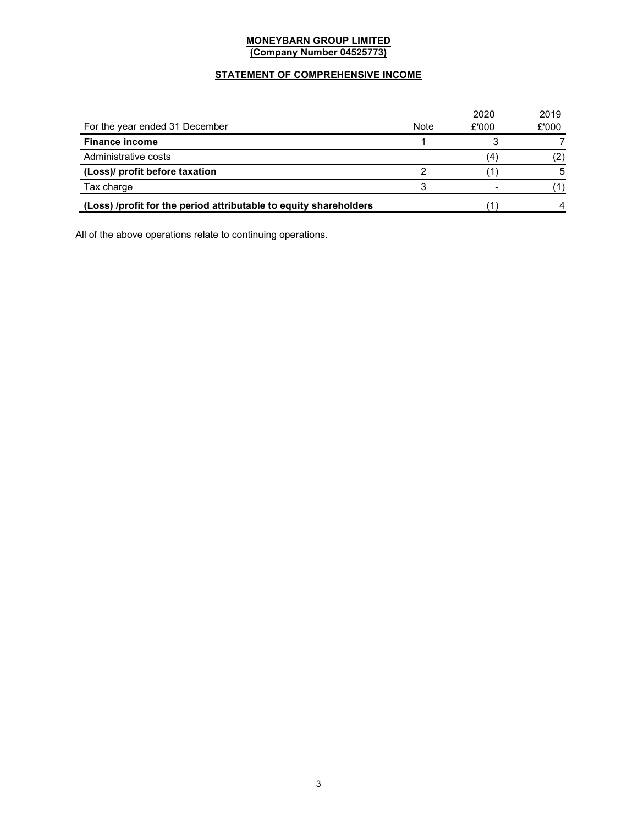## STATEMENT OF COMPREHENSIVE INCOME

|                                                                   |      | 2020  | 2019  |
|-------------------------------------------------------------------|------|-------|-------|
| For the year ended 31 December                                    | Note | £'000 | £'000 |
| <b>Finance income</b>                                             |      |       |       |
| Administrative costs                                              |      | (4)   |       |
| (Loss)/ profit before taxation                                    |      |       | 5     |
| Tax charge                                                        |      |       |       |
| (Loss) /profit for the period attributable to equity shareholders |      |       |       |

All of the above operations relate to continuing operations.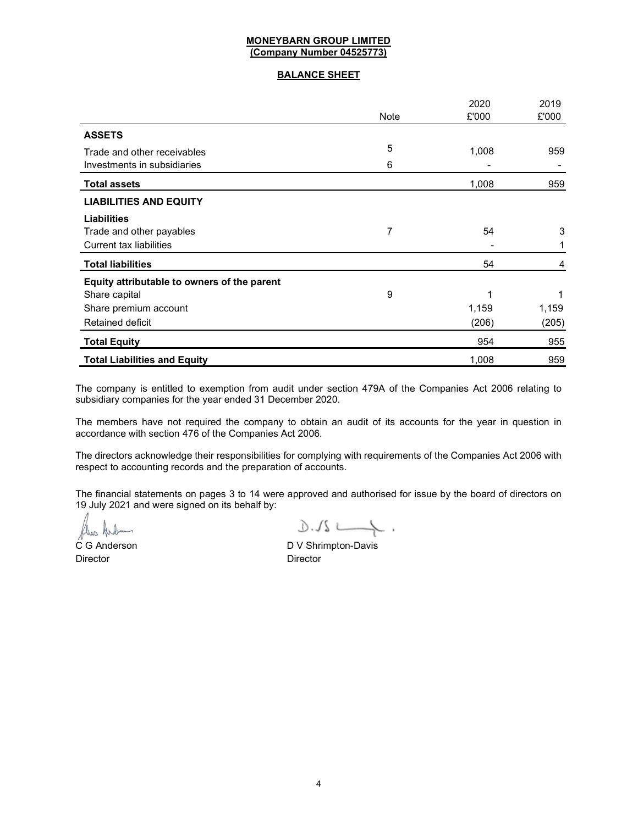## BALANCE SHEET

|                                             |             | 2020  | 2019  |
|---------------------------------------------|-------------|-------|-------|
|                                             | <b>Note</b> | £'000 | £'000 |
| <b>ASSETS</b>                               |             |       |       |
| Trade and other receivables                 | 5           | 1,008 | 959   |
| Investments in subsidiaries                 | 6           |       |       |
| <b>Total assets</b>                         |             | 1,008 | 959   |
| <b>LIABILITIES AND EQUITY</b>               |             |       |       |
| <b>Liabilities</b>                          |             |       |       |
| Trade and other payables                    | 7           | 54    | 3     |
| <b>Current tax liabilities</b>              |             |       |       |
| <b>Total liabilities</b>                    |             | 54    | 4     |
| Equity attributable to owners of the parent |             |       |       |
| Share capital                               | 9           |       | 1     |
| Share premium account                       |             | 1,159 | 1,159 |
| Retained deficit                            |             | (206) | (205) |
| <b>Total Equity</b>                         |             | 954   | 955   |
| <b>Total Liabilities and Equity</b>         |             | 1,008 | 959   |

The company is entitled to exemption from audit under section 479A of the Companies Act 2006 relating to subsidiary companies for the year ended 31 December 2020.

The members have not required the company to obtain an audit of its accounts for the year in question in accordance with section 476 of the Companies Act 2006.

The directors acknowledge their responsibilities for complying with requirements of the Companies Act 2006 with respect to accounting records and the preparation of accounts.

The financial statements on pages 3 to 14 were approved and authorised for issue by the board of directors on 19 July 2021 and were signed on its behalf by:

 $\frac{1}{2}\int\frac{1}{2}x\left( x\right) dx$ 

Director Director

C G Anderson **D V Shrimpton-Davis**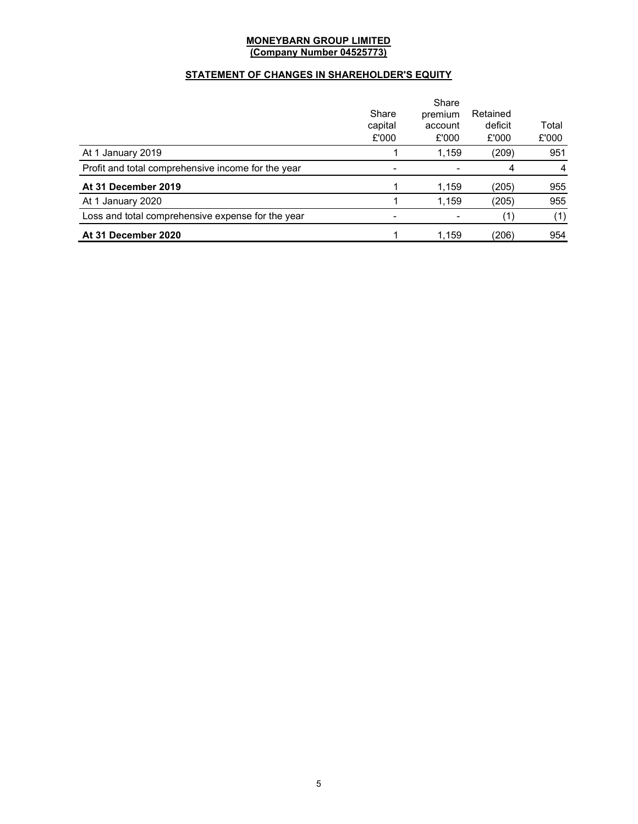## STATEMENT OF CHANGES IN SHAREHOLDER'S EQUITY

|                                                    | Share<br>capital<br>£'000 | Share<br>premium<br>account<br>£'000 | Retained<br>deficit<br>£'000 | Total<br>£'000 |
|----------------------------------------------------|---------------------------|--------------------------------------|------------------------------|----------------|
| At 1 January 2019                                  |                           | 1.159                                | (209)                        | 951            |
| Profit and total comprehensive income for the year |                           |                                      | 4                            | 4              |
| At 31 December 2019                                |                           | 1,159                                | (205)                        | 955            |
| At 1 January 2020                                  |                           | 1,159                                | (205)                        | 955            |
| Loss and total comprehensive expense for the year  |                           |                                      |                              | (1)            |
| At 31 December 2020                                |                           | 1,159                                | (206)                        | 954            |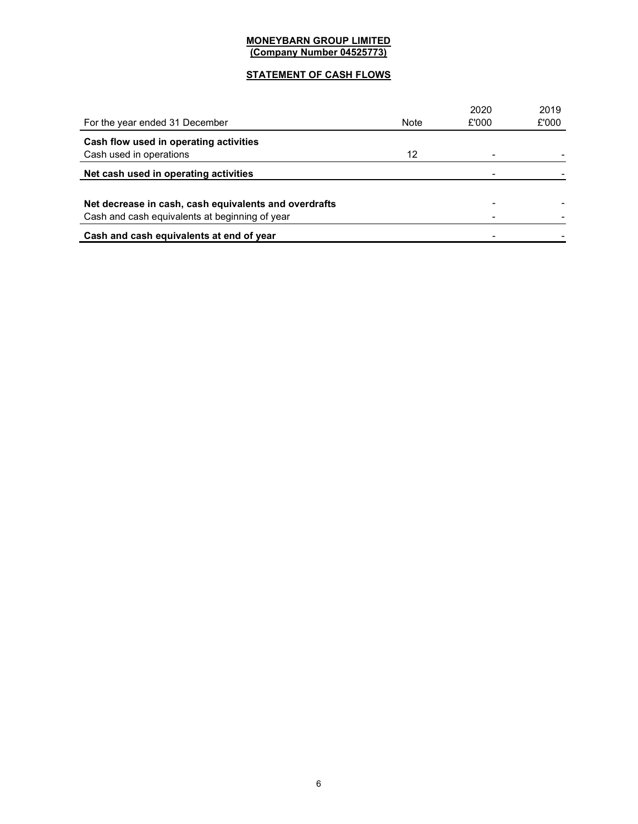## STATEMENT OF CASH FLOWS

|                                                       |             | 2020  | 2019  |
|-------------------------------------------------------|-------------|-------|-------|
| For the year ended 31 December                        | <b>Note</b> | £'000 | £'000 |
| Cash flow used in operating activities                |             |       |       |
| Cash used in operations                               | 12          |       |       |
| Net cash used in operating activities                 |             |       |       |
|                                                       |             |       |       |
| Net decrease in cash, cash equivalents and overdrafts |             |       |       |
| Cash and cash equivalents at beginning of year        |             |       |       |
| Cash and cash equivalents at end of year              |             |       |       |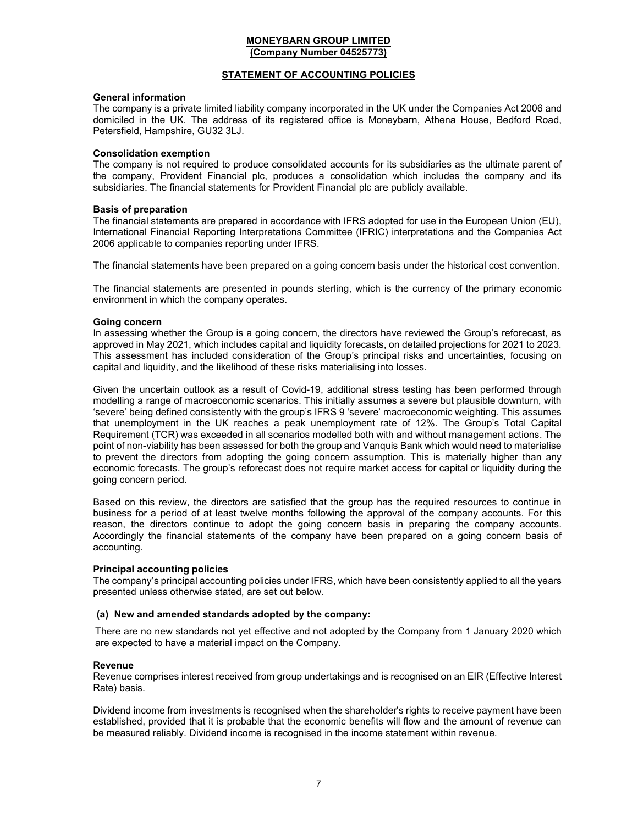## STATEMENT OF ACCOUNTING POLICIES

#### General information

The company is a private limited liability company incorporated in the UK under the Companies Act 2006 and domiciled in the UK. The address of its registered office is Moneybarn, Athena House, Bedford Road, Petersfield, Hampshire, GU32 3LJ.

#### Consolidation exemption

The company is not required to produce consolidated accounts for its subsidiaries as the ultimate parent of the company, Provident Financial plc, produces a consolidation which includes the company and its subsidiaries. The financial statements for Provident Financial plc are publicly available.

#### Basis of preparation

The financial statements are prepared in accordance with IFRS adopted for use in the European Union (EU), International Financial Reporting Interpretations Committee (IFRIC) interpretations and the Companies Act 2006 applicable to companies reporting under IFRS.

The financial statements have been prepared on a going concern basis under the historical cost convention.

The financial statements are presented in pounds sterling, which is the currency of the primary economic environment in which the company operates.

#### Going concern

In assessing whether the Group is a going concern, the directors have reviewed the Group's reforecast, as approved in May 2021, which includes capital and liquidity forecasts, on detailed projections for 2021 to 2023. This assessment has included consideration of the Group's principal risks and uncertainties, focusing on capital and liquidity, and the likelihood of these risks materialising into losses.

Given the uncertain outlook as a result of Covid-19, additional stress testing has been performed through modelling a range of macroeconomic scenarios. This initially assumes a severe but plausible downturn, with 'severe' being defined consistently with the group's IFRS 9 'severe' macroeconomic weighting. This assumes that unemployment in the UK reaches a peak unemployment rate of 12%. The Group's Total Capital Requirement (TCR) was exceeded in all scenarios modelled both with and without management actions. The point of non-viability has been assessed for both the group and Vanquis Bank which would need to materialise to prevent the directors from adopting the going concern assumption. This is materially higher than any economic forecasts. The group's reforecast does not require market access for capital or liquidity during the going concern period.

Based on this review, the directors are satisfied that the group has the required resources to continue in business for a period of at least twelve months following the approval of the company accounts. For this reason, the directors continue to adopt the going concern basis in preparing the company accounts. Accordingly the financial statements of the company have been prepared on a going concern basis of accounting.

#### Principal accounting policies

The company's principal accounting policies under IFRS, which have been consistently applied to all the years presented unless otherwise stated, are set out below.

## (a) New and amended standards adopted by the company:

There are no new standards not yet effective and not adopted by the Company from 1 January 2020 which are expected to have a material impact on the Company.

#### Revenue

Revenue comprises interest received from group undertakings and is recognised on an EIR (Effective Interest Rate) basis.

Dividend income from investments is recognised when the shareholder's rights to receive payment have been established, provided that it is probable that the economic benefits will flow and the amount of revenue can be measured reliably. Dividend income is recognised in the income statement within revenue.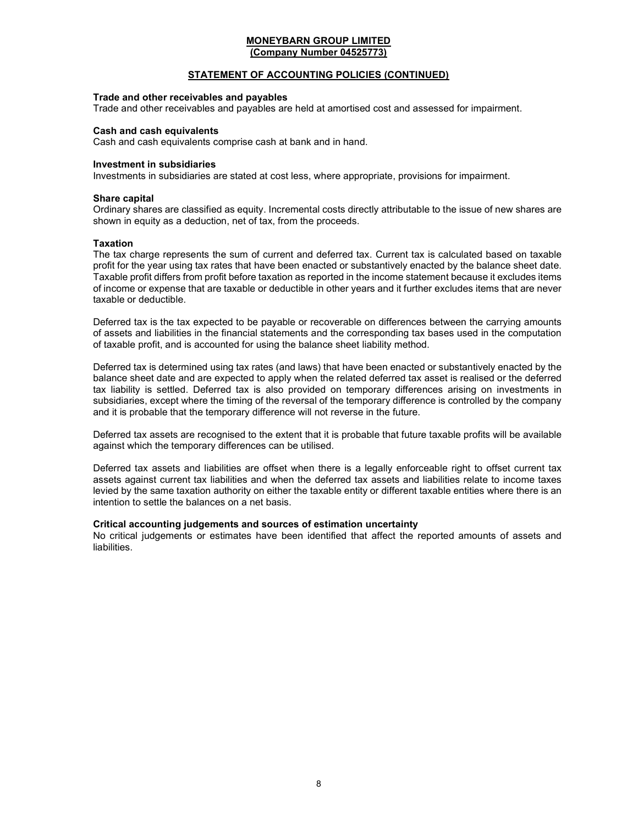## STATEMENT OF ACCOUNTING POLICIES (CONTINUED)

## Trade and other receivables and payables

Trade and other receivables and payables are held at amortised cost and assessed for impairment.

#### Cash and cash equivalents

Cash and cash equivalents comprise cash at bank and in hand.

#### Investment in subsidiaries

Investments in subsidiaries are stated at cost less, where appropriate, provisions for impairment.

#### Share capital

Ordinary shares are classified as equity. Incremental costs directly attributable to the issue of new shares are shown in equity as a deduction, net of tax, from the proceeds.

#### **Taxation**

The tax charge represents the sum of current and deferred tax. Current tax is calculated based on taxable profit for the year using tax rates that have been enacted or substantively enacted by the balance sheet date. Taxable profit differs from profit before taxation as reported in the income statement because it excludes items of income or expense that are taxable or deductible in other years and it further excludes items that are never taxable or deductible.

Deferred tax is the tax expected to be payable or recoverable on differences between the carrying amounts of assets and liabilities in the financial statements and the corresponding tax bases used in the computation of taxable profit, and is accounted for using the balance sheet liability method.

Deferred tax is determined using tax rates (and laws) that have been enacted or substantively enacted by the balance sheet date and are expected to apply when the related deferred tax asset is realised or the deferred tax liability is settled. Deferred tax is also provided on temporary differences arising on investments in subsidiaries, except where the timing of the reversal of the temporary difference is controlled by the company and it is probable that the temporary difference will not reverse in the future.

Deferred tax assets are recognised to the extent that it is probable that future taxable profits will be available against which the temporary differences can be utilised.

Deferred tax assets and liabilities are offset when there is a legally enforceable right to offset current tax assets against current tax liabilities and when the deferred tax assets and liabilities relate to income taxes levied by the same taxation authority on either the taxable entity or different taxable entities where there is an intention to settle the balances on a net basis.

## Critical accounting judgements and sources of estimation uncertainty

No critical judgements or estimates have been identified that affect the reported amounts of assets and liabilities.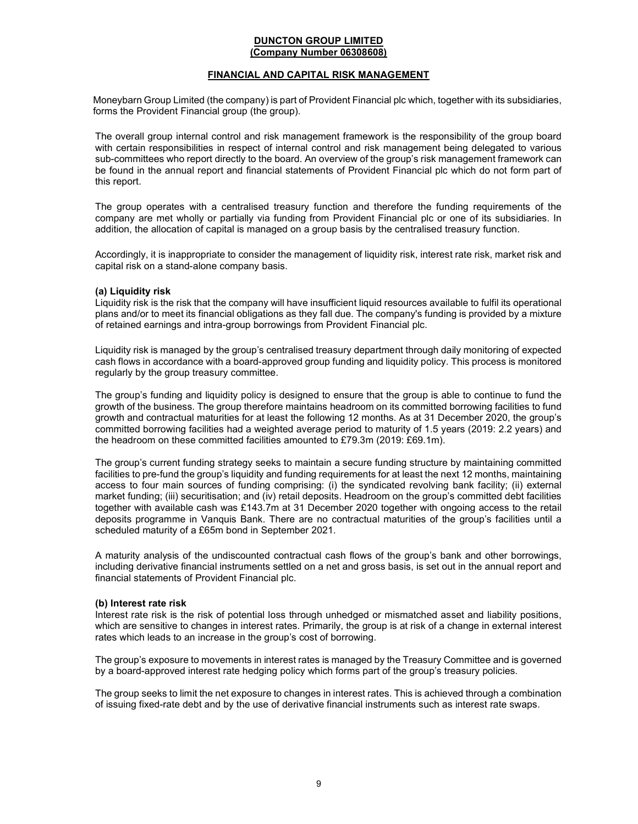#### DUNCTON GROUP LIMITED (Company Number 06308608)

## FINANCIAL AND CAPITAL RISK MANAGEMENT

Moneybarn Group Limited (the company) is part of Provident Financial plc which, together with its subsidiaries, forms the Provident Financial group (the group).

The overall group internal control and risk management framework is the responsibility of the group board with certain responsibilities in respect of internal control and risk management being delegated to various sub-committees who report directly to the board. An overview of the group's risk management framework can be found in the annual report and financial statements of Provident Financial plc which do not form part of this report.

The group operates with a centralised treasury function and therefore the funding requirements of the company are met wholly or partially via funding from Provident Financial plc or one of its subsidiaries. In addition, the allocation of capital is managed on a group basis by the centralised treasury function.

Accordingly, it is inappropriate to consider the management of liquidity risk, interest rate risk, market risk and capital risk on a stand-alone company basis.

## (a) Liquidity risk

Liquidity risk is the risk that the company will have insufficient liquid resources available to fulfil its operational plans and/or to meet its financial obligations as they fall due. The company's funding is provided by a mixture of retained earnings and intra-group borrowings from Provident Financial plc.

Liquidity risk is managed by the group's centralised treasury department through daily monitoring of expected cash flows in accordance with a board-approved group funding and liquidity policy. This process is monitored regularly by the group treasury committee.

The group's funding and liquidity policy is designed to ensure that the group is able to continue to fund the growth of the business. The group therefore maintains headroom on its committed borrowing facilities to fund growth and contractual maturities for at least the following 12 months. As at 31 December 2020, the group's committed borrowing facilities had a weighted average period to maturity of 1.5 years (2019: 2.2 years) and the headroom on these committed facilities amounted to £79.3m (2019: £69.1m).

The group's current funding strategy seeks to maintain a secure funding structure by maintaining committed facilities to pre-fund the group's liquidity and funding requirements for at least the next 12 months, maintaining access to four main sources of funding comprising: (i) the syndicated revolving bank facility; (ii) external market funding; (iii) securitisation; and (iv) retail deposits. Headroom on the group's committed debt facilities together with available cash was £143.7m at 31 December 2020 together with ongoing access to the retail deposits programme in Vanquis Bank. There are no contractual maturities of the group's facilities until a scheduled maturity of a £65m bond in September 2021.

A maturity analysis of the undiscounted contractual cash flows of the group's bank and other borrowings, including derivative financial instruments settled on a net and gross basis, is set out in the annual report and financial statements of Provident Financial plc.

## (b) Interest rate risk

Interest rate risk is the risk of potential loss through unhedged or mismatched asset and liability positions, which are sensitive to changes in interest rates. Primarily, the group is at risk of a change in external interest rates which leads to an increase in the group's cost of borrowing.

The group's exposure to movements in interest rates is managed by the Treasury Committee and is governed by a board-approved interest rate hedging policy which forms part of the group's treasury policies.

The group seeks to limit the net exposure to changes in interest rates. This is achieved through a combination of issuing fixed-rate debt and by the use of derivative financial instruments such as interest rate swaps.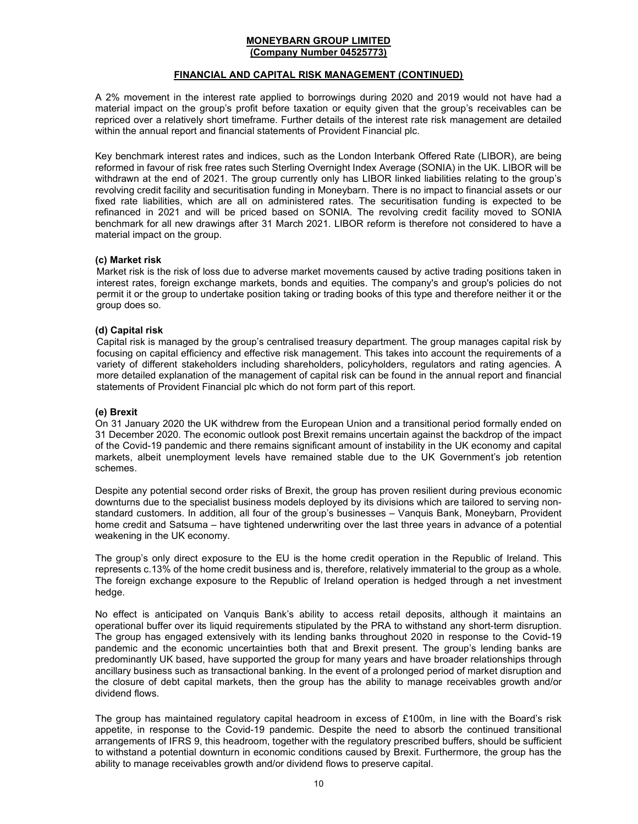## FINANCIAL AND CAPITAL RISK MANAGEMENT (CONTINUED)

A 2% movement in the interest rate applied to borrowings during 2020 and 2019 would not have had a material impact on the group's profit before taxation or equity given that the group's receivables can be repriced over a relatively short timeframe. Further details of the interest rate risk management are detailed within the annual report and financial statements of Provident Financial plc.

Key benchmark interest rates and indices, such as the London Interbank Offered Rate (LIBOR), are being reformed in favour of risk free rates such Sterling Overnight Index Average (SONIA) in the UK. LIBOR will be withdrawn at the end of 2021. The group currently only has LIBOR linked liabilities relating to the group's revolving credit facility and securitisation funding in Moneybarn. There is no impact to financial assets or our fixed rate liabilities, which are all on administered rates. The securitisation funding is expected to be refinanced in 2021 and will be priced based on SONIA. The revolving credit facility moved to SONIA benchmark for all new drawings after 31 March 2021. LIBOR reform is therefore not considered to have a material impact on the group.

## (c) Market risk

Market risk is the risk of loss due to adverse market movements caused by active trading positions taken in interest rates, foreign exchange markets, bonds and equities. The company's and group's policies do not permit it or the group to undertake position taking or trading books of this type and therefore neither it or the group does so.

## (d) Capital risk

Capital risk is managed by the group's centralised treasury department. The group manages capital risk by focusing on capital efficiency and effective risk management. This takes into account the requirements of a variety of different stakeholders including shareholders, policyholders, regulators and rating agencies. A more detailed explanation of the management of capital risk can be found in the annual report and financial statements of Provident Financial plc which do not form part of this report.

## (e) Brexit

On 31 January 2020 the UK withdrew from the European Union and a transitional period formally ended on 31 December 2020. The economic outlook post Brexit remains uncertain against the backdrop of the impact of the Covid-19 pandemic and there remains significant amount of instability in the UK economy and capital markets, albeit unemployment levels have remained stable due to the UK Government's job retention schemes.

Despite any potential second order risks of Brexit, the group has proven resilient during previous economic downturns due to the specialist business models deployed by its divisions which are tailored to serving nonstandard customers. In addition, all four of the group's businesses – Vanquis Bank, Moneybarn, Provident home credit and Satsuma – have tightened underwriting over the last three years in advance of a potential weakening in the UK economy.

The group's only direct exposure to the EU is the home credit operation in the Republic of Ireland. This represents c.13% of the home credit business and is, therefore, relatively immaterial to the group as a whole. The foreign exchange exposure to the Republic of Ireland operation is hedged through a net investment hedge.

No effect is anticipated on Vanquis Bank's ability to access retail deposits, although it maintains an operational buffer over its liquid requirements stipulated by the PRA to withstand any short-term disruption. The group has engaged extensively with its lending banks throughout 2020 in response to the Covid-19 pandemic and the economic uncertainties both that and Brexit present. The group's lending banks are predominantly UK based, have supported the group for many years and have broader relationships through ancillary business such as transactional banking. In the event of a prolonged period of market disruption and the closure of debt capital markets, then the group has the ability to manage receivables growth and/or dividend flows.

The group has maintained regulatory capital headroom in excess of £100m, in line with the Board's risk appetite, in response to the Covid-19 pandemic. Despite the need to absorb the continued transitional arrangements of IFRS 9, this headroom, together with the regulatory prescribed buffers, should be sufficient to withstand a potential downturn in economic conditions caused by Brexit. Furthermore, the group has the ability to manage receivables growth and/or dividend flows to preserve capital.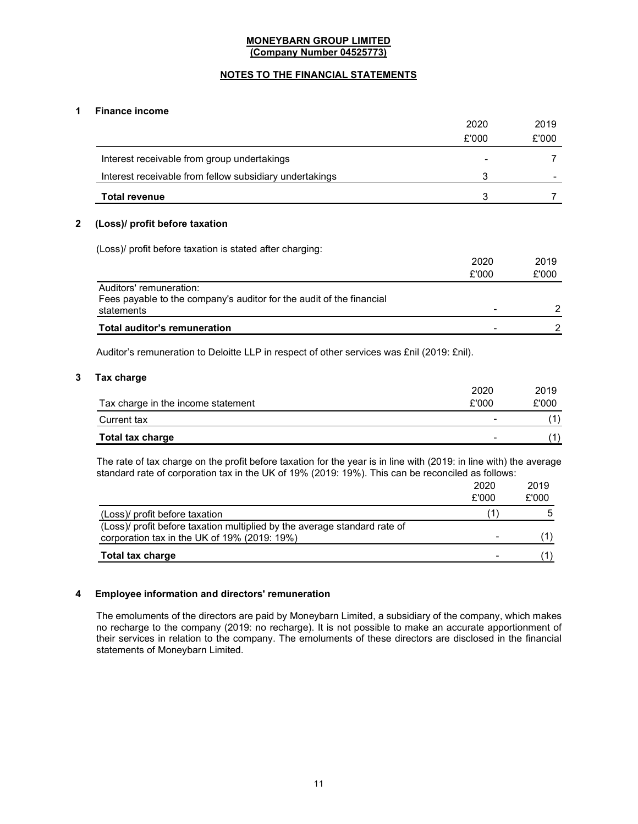## NOTES TO THE FINANCIAL STATEMENTS

## 1 Finance income

|                                                                                                               | 2020          | 2019          |
|---------------------------------------------------------------------------------------------------------------|---------------|---------------|
|                                                                                                               | £'000         | £'000         |
| Interest receivable from group undertakings                                                                   |               |               |
| Interest receivable from fellow subsidiary undertakings                                                       | 3             |               |
| <b>Total revenue</b>                                                                                          | 3             |               |
| (Loss)/ profit before taxation<br>(Loss)/ profit before taxation is stated after charging:                    |               |               |
|                                                                                                               | 2020<br>£'000 | 2019<br>£'000 |
| Auditors' remuneration:<br>Fees payable to the company's auditor for the audit of the financial<br>statements |               | 2             |
| <b>Total auditor's remuneration</b>                                                                           |               |               |

Auditor's remuneration to Deloitte LLP in respect of other services was £nil (2019: £nil).

## 3 Tax charge

|                                    | 2020  | 2019  |
|------------------------------------|-------|-------|
| Tax charge in the income statement | £'000 | £'000 |
| Current tax                        | -     |       |
| <b>Total tax charge</b>            |       |       |

The rate of tax charge on the profit before taxation for the year is in line with (2019: in line with) the average standard rate of corporation tax in the UK of 19% (2019: 19%). This can be reconciled as follows:

|                                                                                                                           | 2020  | 2019  |
|---------------------------------------------------------------------------------------------------------------------------|-------|-------|
|                                                                                                                           | £'000 | £'000 |
| (Loss)/ profit before taxation                                                                                            |       |       |
| (Loss)/ profit before taxation multiplied by the average standard rate of<br>corporation tax in the UK of 19% (2019: 19%) |       |       |
| <b>Total tax charge</b>                                                                                                   |       |       |

## 4 Employee information and directors' remuneration

The emoluments of the directors are paid by Moneybarn Limited, a subsidiary of the company, which makes no recharge to the company (2019: no recharge). It is not possible to make an accurate apportionment of their services in relation to the company. The emoluments of these directors are disclosed in the financial statements of Moneybarn Limited.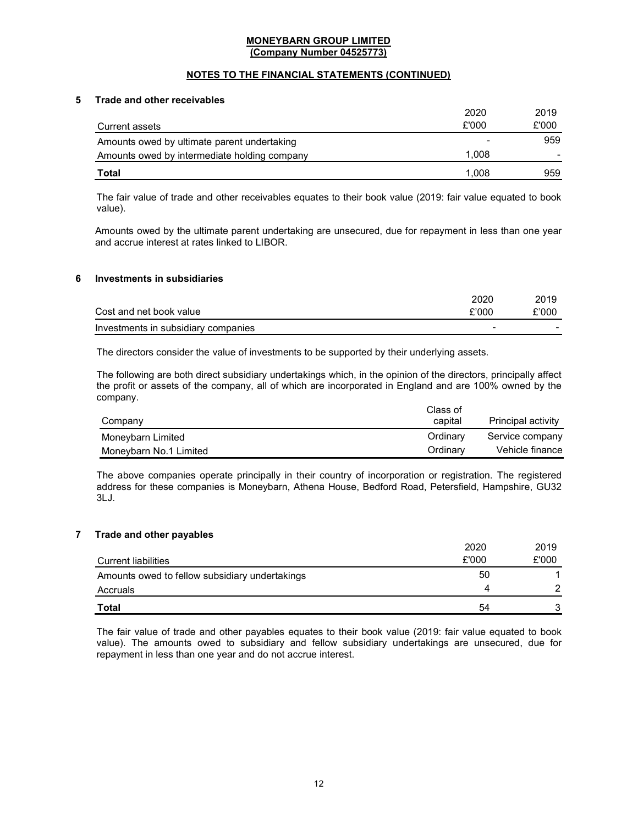## NOTES TO THE FINANCIAL STATEMENTS (CONTINUED)

## 5 Trade and other receivables

|                                              | 2020  | 2019  |
|----------------------------------------------|-------|-------|
| Current assets                               | £'000 | £'000 |
| Amounts owed by ultimate parent undertaking  | -     | 959   |
| Amounts owed by intermediate holding company | 1.008 |       |
| Total                                        | 1.008 | 959   |

The fair value of trade and other receivables equates to their book value (2019: fair value equated to book value).

Amounts owed by the ultimate parent undertaking are unsecured, due for repayment in less than one year and accrue interest at rates linked to LIBOR.

### 6 Investments in subsidiaries

|                                     | 2020  | 2019  |
|-------------------------------------|-------|-------|
| Cost and net book value             | £'000 | £'000 |
| Investments in subsidiary companies | -     |       |

The directors consider the value of investments to be supported by their underlying assets.

The following are both direct subsidiary undertakings which, in the opinion of the directors, principally affect the profit or assets of the company, all of which are incorporated in England and are 100% owned by the company.

|                        | Class of |                    |
|------------------------|----------|--------------------|
| Company                | capital  | Principal activity |
| Moneybarn Limited      | Ordinary | Service company    |
| Moneybarn No.1 Limited | Ordinary | Vehicle finance    |

The above companies operate principally in their country of incorporation or registration. The registered address for these companies is Moneybarn, Athena House, Bedford Road, Petersfield, Hampshire, GU32 3LJ.

## 7 Trade and other payables

|                                                | 2020  | 2019  |
|------------------------------------------------|-------|-------|
| <b>Current liabilities</b>                     | £'000 | £'000 |
| Amounts owed to fellow subsidiary undertakings | 50    |       |
| Accruals                                       | Δ     |       |
| Total                                          | 54    |       |

The fair value of trade and other payables equates to their book value (2019: fair value equated to book value). The amounts owed to subsidiary and fellow subsidiary undertakings are unsecured, due for repayment in less than one year and do not accrue interest.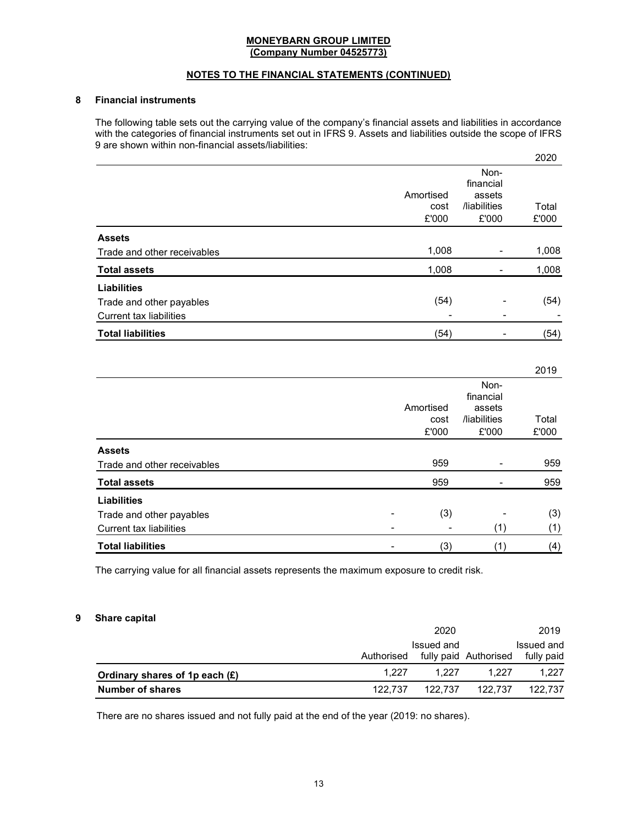## NOTES TO THE FINANCIAL STATEMENTS (CONTINUED)

## 8 Financial instruments

The following table sets out the carrying value of the company's financial assets and liabilities in accordance with the categories of financial instruments set out in IFRS 9. Assets and liabilities outside the scope of IFRS 9 are shown within non-financial assets/liabilities:

|                                |                            |                                                      | 2020           |
|--------------------------------|----------------------------|------------------------------------------------------|----------------|
|                                | Amortised<br>cost<br>£'000 | Non-<br>financial<br>assets<br>/liabilities<br>£'000 | Total<br>£'000 |
| <b>Assets</b>                  |                            |                                                      |                |
| Trade and other receivables    | 1,008                      |                                                      | 1,008          |
| <b>Total assets</b>            | 1,008                      |                                                      | 1,008          |
| <b>Liabilities</b>             |                            |                                                      |                |
| Trade and other payables       | (54)                       |                                                      | (54)           |
| <b>Current tax liabilities</b> |                            | -                                                    |                |
| <b>Total liabilities</b>       | (54)                       | -                                                    | (54)           |

| <b>Total liabilities</b>       | (3)       | (1)          | (4)   |
|--------------------------------|-----------|--------------|-------|
| <b>Current tax liabilities</b> |           | (1)          | (1)   |
| Trade and other payables       | (3)       |              | (3)   |
| <b>Liabilities</b>             |           |              |       |
| <b>Total assets</b>            | 959       |              | 959   |
| Trade and other receivables    | 959       |              | 959   |
| <b>Assets</b>                  |           |              |       |
|                                | £'000     | £'000        | £'000 |
|                                | cost      | /liabilities | Total |
|                                | Amortised | assets       |       |
|                                |           | financial    |       |
|                                |           | Non-         |       |
|                                |           |              | 2019  |

The carrying value for all financial assets represents the maximum exposure to credit risk.

#### 9 Share capital

|                                  |            | 2020       |                       | 2019       |
|----------------------------------|------------|------------|-----------------------|------------|
|                                  |            | Issued and |                       | Issued and |
|                                  | Authorised |            | fully paid Authorised | fully paid |
| Ordinary shares of 1p each $(E)$ | 1.227      | 1.227      | 1.227                 | 1.227      |
| <b>Number of shares</b>          | 122.737    | 122.737    | 122.737               | 122.737    |

There are no shares issued and not fully paid at the end of the year (2019: no shares).